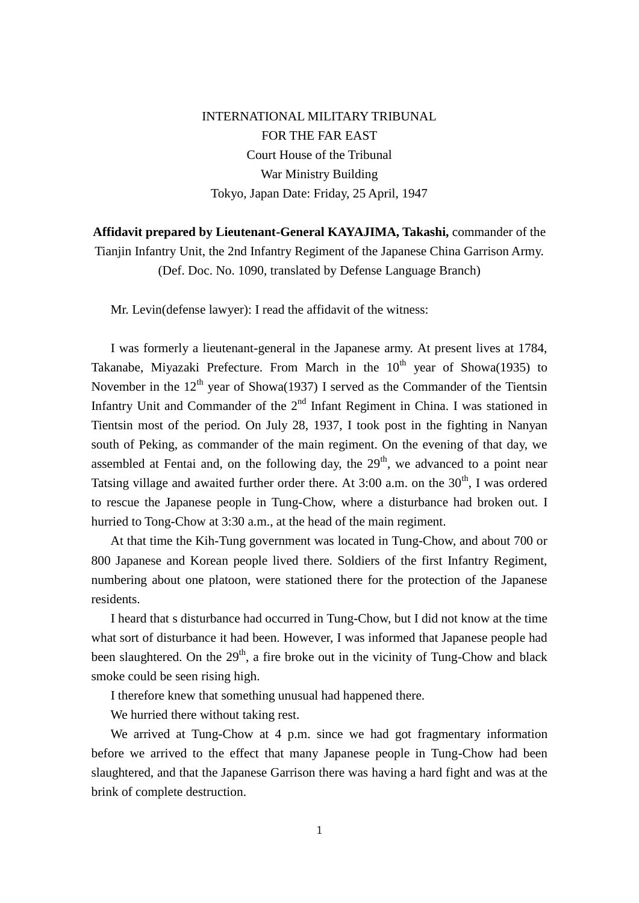INTERNATIONAL MILITARY TRIBUNAL FOR THE FAR EAST Court House of the Tribunal War Ministry Building Tokyo, Japan Date: Friday, 25 April, 1947

**Affidavit prepared by Lieutenant-General KAYAJIMA, Takashi,** commander of the Tianjin Infantry Unit, the 2nd Infantry Regiment of the Japanese China Garrison Army. (Def. Doc. No. 1090, translated by Defense Language Branch)

Mr. Levin(defense lawyer): I read the affidavit of the witness:

 I was formerly a lieutenant-general in the Japanese army. At present lives at 1784, Takanabe, Miyazaki Prefecture. From March in the  $10<sup>th</sup>$  year of Showa(1935) to November in the  $12<sup>th</sup>$  year of Showa(1937) I served as the Commander of the Tientsin Infantry Unit and Commander of the  $2<sup>nd</sup>$  Infant Regiment in China. I was stationed in Tientsin most of the period. On July 28, 1937, I took post in the fighting in Nanyan south of Peking, as commander of the main regiment. On the evening of that day, we assembled at Fentai and, on the following day, the  $29<sup>th</sup>$ , we advanced to a point near Tatsing village and awaited further order there. At  $3:00$  a.m. on the  $30<sup>th</sup>$ , I was ordered to rescue the Japanese people in Tung-Chow, where a disturbance had broken out. I hurried to Tong-Chow at 3:30 a.m., at the head of the main regiment.

 At that time the Kih-Tung government was located in Tung-Chow, and about 700 or 800 Japanese and Korean people lived there. Soldiers of the first Infantry Regiment, numbering about one platoon, were stationed there for the protection of the Japanese residents.

 I heard that s disturbance had occurred in Tung-Chow, but I did not know at the time what sort of disturbance it had been. However, I was informed that Japanese people had been slaughtered. On the  $29<sup>th</sup>$ , a fire broke out in the vicinity of Tung-Chow and black smoke could be seen rising high.

I therefore knew that something unusual had happened there.

We hurried there without taking rest.

We arrived at Tung-Chow at 4 p.m. since we had got fragmentary information before we arrived to the effect that many Japanese people in Tung-Chow had been slaughtered, and that the Japanese Garrison there was having a hard fight and was at the brink of complete destruction.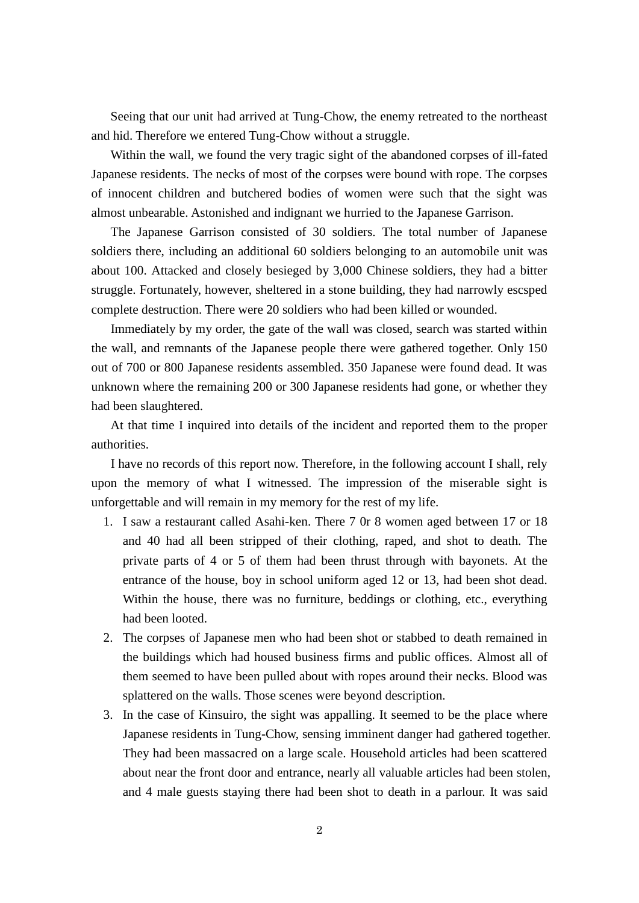Seeing that our unit had arrived at Tung-Chow, the enemy retreated to the northeast and hid. Therefore we entered Tung-Chow without a struggle.

 Within the wall, we found the very tragic sight of the abandoned corpses of ill-fated Japanese residents. The necks of most of the corpses were bound with rope. The corpses of innocent children and butchered bodies of women were such that the sight was almost unbearable. Astonished and indignant we hurried to the Japanese Garrison.

 The Japanese Garrison consisted of 30 soldiers. The total number of Japanese soldiers there, including an additional 60 soldiers belonging to an automobile unit was about 100. Attacked and closely besieged by 3,000 Chinese soldiers, they had a bitter struggle. Fortunately, however, sheltered in a stone building, they had narrowly escsped complete destruction. There were 20 soldiers who had been killed or wounded.

 Immediately by my order, the gate of the wall was closed, search was started within the wall, and remnants of the Japanese people there were gathered together. Only 150 out of 700 or 800 Japanese residents assembled. 350 Japanese were found dead. It was unknown where the remaining 200 or 300 Japanese residents had gone, or whether they had been slaughtered.

 At that time I inquired into details of the incident and reported them to the proper authorities.

 I have no records of this report now. Therefore, in the following account I shall, rely upon the memory of what I witnessed. The impression of the miserable sight is unforgettable and will remain in my memory for the rest of my life.

- 1. I saw a restaurant called Asahi-ken. There 7 0r 8 women aged between 17 or 18 and 40 had all been stripped of their clothing, raped, and shot to death. The private parts of 4 or 5 of them had been thrust through with bayonets. At the entrance of the house, boy in school uniform aged 12 or 13, had been shot dead. Within the house, there was no furniture, beddings or clothing, etc., everything had been looted.
- 2. The corpses of Japanese men who had been shot or stabbed to death remained in the buildings which had housed business firms and public offices. Almost all of them seemed to have been pulled about with ropes around their necks. Blood was splattered on the walls. Those scenes were beyond description.
- 3. In the case of Kinsuiro, the sight was appalling. It seemed to be the place where Japanese residents in Tung-Chow, sensing imminent danger had gathered together. They had been massacred on a large scale. Household articles had been scattered about near the front door and entrance, nearly all valuable articles had been stolen, and 4 male guests staying there had been shot to death in a parlour. It was said